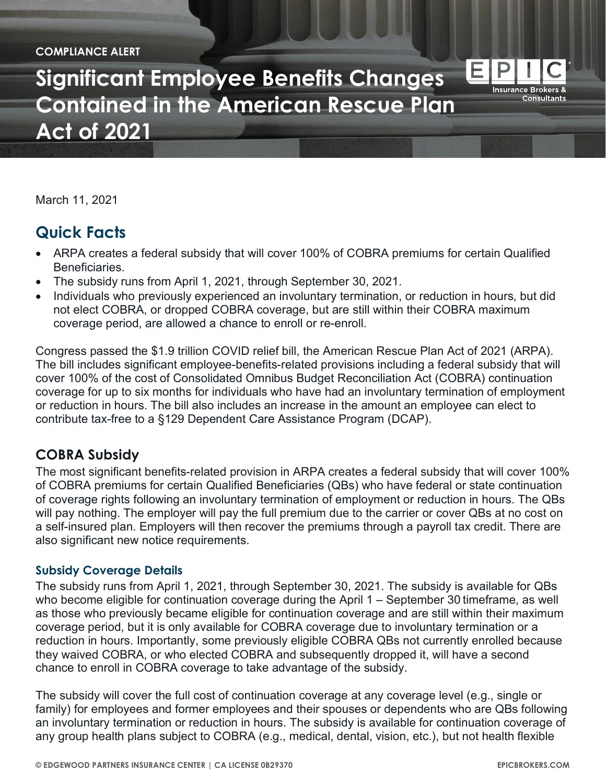#### **COMPLIANCE ALERT**

**Significant Employee Benefits Changes Contained in the American Rescue Plan Act of 2021**

March 11, 2021

# **Quick Facts**

- ARPA creates a federal subsidy that will cover 100% of COBRA premiums for certain Qualified Beneficiaries.
- The subsidy runs from April 1, 2021, through September 30, 2021.
- Individuals who previously experienced an involuntary termination, or reduction in hours, but did not elect COBRA, or dropped COBRA coverage, but are still within their COBRA maximum coverage period, are allowed a chance to enroll or re-enroll.

Congress passed the \$1.9 trillion COVID relief bill, the American Rescue Plan Act of 2021 (ARPA). The bill includes significant employee-benefits-related provisions including a federal subsidy that will cover 100% of the cost of Consolidated Omnibus Budget Reconciliation Act (COBRA) continuation coverage for up to six months for individuals who have had an involuntary termination of employment or reduction in hours. The bill also includes an increase in the amount an employee can elect to contribute tax-free to a §129 Dependent Care Assistance Program (DCAP).

## **COBRA Subsidy**

The most significant benefits-related provision in ARPA creates a federal subsidy that will cover 100% of COBRA premiums for certain Qualified Beneficiaries (QBs) who have federal or state continuation of coverage rights following an involuntary termination of employment or reduction in hours. The QBs will pay nothing. The employer will pay the full premium due to the carrier or cover QBs at no cost on a self-insured plan. Employers will then recover the premiums through a payroll tax credit. There are also significant new notice requirements.

### **Subsidy Coverage Details**

The subsidy runs from April 1, 2021, through September 30, 2021. The subsidy is available for QBs who become eligible for continuation coverage during the April 1 – September 30 timeframe, as well as those who previously became eligible for continuation coverage and are still within their maximum coverage period, but it is only available for COBRA coverage due to involuntary termination or a reduction in hours. Importantly, some previously eligible COBRA QBs not currently enrolled because they waived COBRA, or who elected COBRA and subsequently dropped it, will have a second chance to enroll in COBRA coverage to take advantage of the subsidy.

The subsidy will cover the full cost of continuation coverage at any coverage level (e.g., single or family) for employees and former employees and their spouses or dependents who are QBs following an involuntary termination or reduction in hours. The subsidy is available for continuation coverage of any group health plans subject to COBRA (e.g., medical, dental, vision, etc.), but not health flexible

E

**Insurance Brokers & Consultants**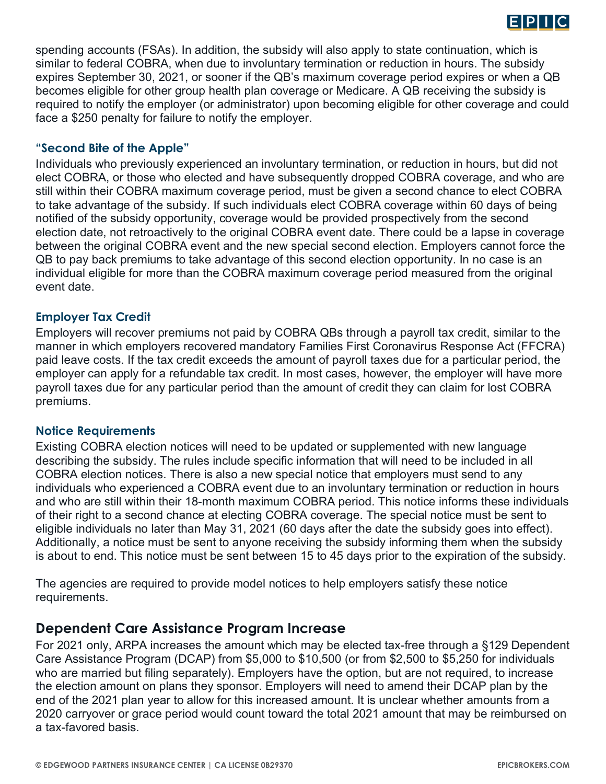

spending accounts (FSAs). In addition, the subsidy will also apply to state continuation, which is similar to federal COBRA, when due to involuntary termination or reduction in hours. The subsidy expires September 30, 2021, or sooner if the QB's maximum coverage period expires or when a QB becomes eligible for other group health plan coverage or Medicare. A QB receiving the subsidy is required to notify the employer (or administrator) upon becoming eligible for other coverage and could face a \$250 penalty for failure to notify the employer.

### **"Second Bite of the Apple"**

Individuals who previously experienced an involuntary termination, or reduction in hours, but did not elect COBRA, or those who elected and have subsequently dropped COBRA coverage, and who are still within their COBRA maximum coverage period, must be given a second chance to elect COBRA to take advantage of the subsidy. If such individuals elect COBRA coverage within 60 days of being notified of the subsidy opportunity, coverage would be provided prospectively from the second election date, not retroactively to the original COBRA event date. There could be a lapse in coverage between the original COBRA event and the new special second election. Employers cannot force the QB to pay back premiums to take advantage of this second election opportunity. In no case is an individual eligible for more than the COBRA maximum coverage period measured from the original event date.

### **Employer Tax Credit**

Employers will recover premiums not paid by COBRA QBs through a payroll tax credit, similar to the manner in which employers recovered mandatory Families First Coronavirus Response Act (FFCRA) paid leave costs. If the tax credit exceeds the amount of payroll taxes due for a particular period, the employer can apply for a refundable tax credit. In most cases, however, the employer will have more payroll taxes due for any particular period than the amount of credit they can claim for lost COBRA premiums.

### **Notice Requirements**

Existing COBRA election notices will need to be updated or supplemented with new language describing the subsidy. The rules include specific information that will need to be included in all COBRA election notices. There is also a new special notice that employers must send to any individuals who experienced a COBRA event due to an involuntary termination or reduction in hours and who are still within their 18-month maximum COBRA period. This notice informs these individuals of their right to a second chance at electing COBRA coverage. The special notice must be sent to eligible individuals no later than May 31, 2021 (60 days after the date the subsidy goes into effect). Additionally, a notice must be sent to anyone receiving the subsidy informing them when the subsidy is about to end. This notice must be sent between 15 to 45 days prior to the expiration of the subsidy.

The agencies are required to provide model notices to help employers satisfy these notice requirements.

### **Dependent Care Assistance Program Increase**

For 2021 only, ARPA increases the amount which may be elected tax-free through a §129 Dependent Care Assistance Program (DCAP) from \$5,000 to \$10,500 (or from \$2,500 to \$5,250 for individuals who are married but filing separately). Employers have the option, but are not required, to increase the election amount on plans they sponsor. Employers will need to amend their DCAP plan by the end of the 2021 plan year to allow for this increased amount. It is unclear whether amounts from a 2020 carryover or grace period would count toward the total 2021 amount that may be reimbursed on a tax-favored basis.